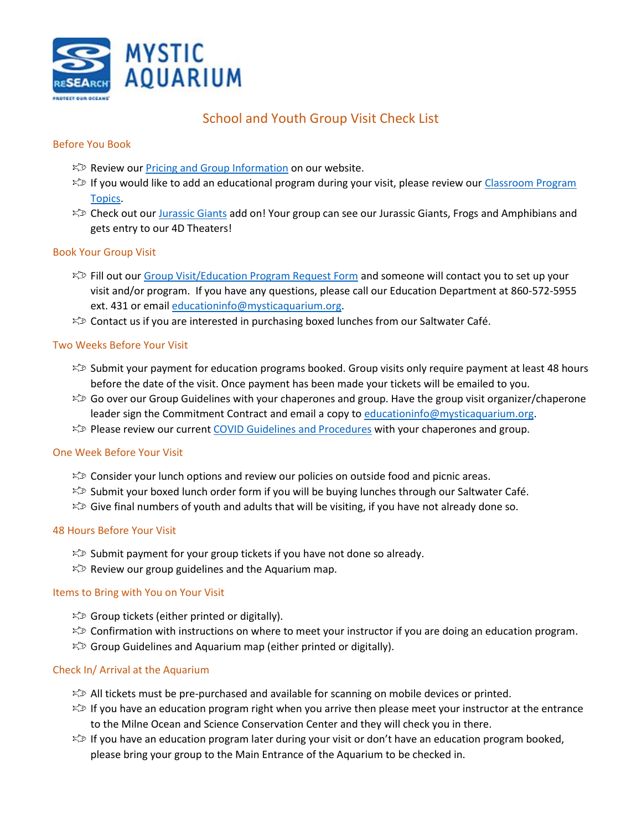

# School and Youth Group Visit Check List

### Before You Book

- $\mathbb{R}^{\infty}$  Review our [Pricing and Group Information](https://www.mysticaquarium.org/learn/schools-and-educators/at-the-aquarium/) on our website.
- $\approx$  If you would like to add an educational program during your visit, please review our Classroom Program [Topics.](https://www.mysticaquarium.org/classroom-program-topics/)
- $\approx$  Check out our [Jurassic Giants](https://www.mysticaquarium.org/experiences/jurassic-giants/) add on! Your group can see our Jurassic Giants, Frogs and Amphibians and gets entry to our 4D Theaters!

### Book Your Group Visit

- $\%$  Fill out our [Group Visit/Education Program Request Form](https://www.mysticaquarium.org/group-visit-and-or-education-program-request/) and someone will contact you to set up your visit and/or program. If you have any questions, please call our Education Department at 860-572-5955 ext. 431 or email [educationinfo@mysticaquarium.org.](mailto:educationinfo@mysticaquarium.org)
- $\gg$  Contact us if you are interested in purchasing boxed lunches from our Saltwater Café.

### Two Weeks Before Your Visit

- $\gg$  Submit your payment for education programs booked. Group visits only require payment at least 48 hours before the date of the visit. Once payment has been made your tickets will be emailed to you.
- $\gg$  Go over our Group Guidelines with your chaperones and group. Have the group visit organizer/chaperone leader sign the Commitment Contract and email a copy t[o educationinfo@mysticaquarium.org.](mailto:educationinfo@mysticaquarium.org)
- $\approx$  Please review our curren[t COVID Guidelines and Procedures](https://www.mysticaquarium.org/reopen/) with your chaperones and group.

#### One Week Before Your Visit

- $\approx$  Consider your lunch options and review our policies on outside food and picnic areas.
- $\approx$  Submit your boxed lunch order form if you will be buying lunches through our Saltwater Café.
- $\gg$  Give final numbers of youth and adults that will be visiting, if you have not already done so.

#### 48 Hours Before Your Visit

- $\mathbb{Z}$  Submit payment for your group tickets if you have not done so already.
- $\approx$  Review our group guidelines and the Aquarium map.

#### Items to Bring with You on Your Visit

- $\approx$  Group tickets (either printed or digitally).
- $\approx$  Confirmation with instructions on where to meet your instructor if you are doing an education program.
- $\approx$  Group Guidelines and Aquarium map (either printed or digitally).

#### Check In/ Arrival at the Aquarium

- $\gg$  All tickets must be pre-purchased and available for scanning on mobile devices or printed.
- $\gg$  If you have an education program right when you arrive then please meet your instructor at the entrance to the Milne Ocean and Science Conservation Center and they will check you in there.
- $\approx$  If you have an education program later during your visit or don't have an education program booked, please bring your group to the Main Entrance of the Aquarium to be checked in.